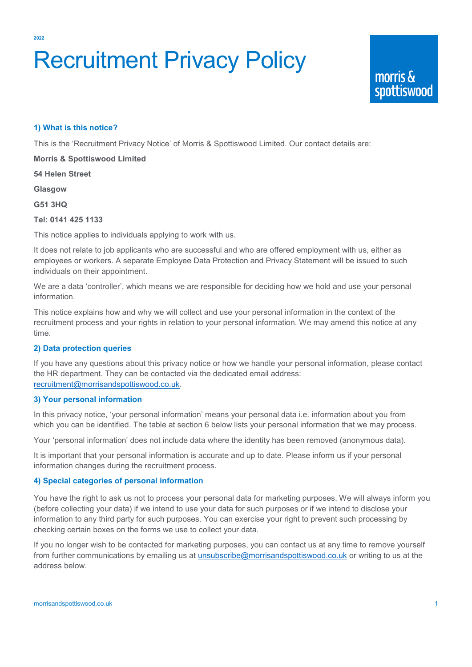**2022**

# Recruitment Privacy Policy

## **1) What is this notice?**

This is the 'Recruitment Privacy Notice' of Morris & Spottiswood Limited. Our contact details are:

**Morris & Spottiswood Limited**

**54 Helen Street**

**Glasgow**

**G51 3HQ**

### **Tel: 0141 425 1133**

This notice applies to individuals applying to work with us.

It does not relate to job applicants who are successful and who are offered employment with us, either as employees or workers. A separate Employee Data Protection and Privacy Statement will be issued to such individuals on their appointment.

We are a data 'controller', which means we are responsible for deciding how we hold and use your personal information.

This notice explains how and why we will collect and use your personal information in the context of the recruitment process and your rights in relation to your personal information. We may amend this notice at any time.

## **2) Data protection queries**

If you have any questions about this privacy notice or how we handle your personal information, please contact the HR department. They can be contacted via the dedicated email address: [recruitment@morrisandspottiswood.co.uk.](mailto:recruitment@morrisandspottiswood.co.uk)

## **3) Your personal information**

In this privacy notice, 'your personal information' means your personal data i.e. information about you from which you can be identified. The table at section 6 below lists your personal information that we may process.

Your 'personal information' does not include data where the identity has been removed (anonymous data).

It is important that your personal information is accurate and up to date. Please inform us if your personal information changes during the recruitment process.

## **4) Special categories of personal information**

You have the right to ask us not to process your personal data for marketing purposes. We will always inform you (before collecting your data) if we intend to use your data for such purposes or if we intend to disclose your information to any third party for such purposes. You can exercise your right to prevent such processing by checking certain boxes on the forms we use to collect your data.

If you no longer wish to be contacted for marketing purposes, you can contact us at any time to remove yourself from further communications by emailing us at [unsubscribe@morrisandspottiswood.co.uk](mailto:unsubscribe@morrisandspottiswood.co.uk) or writing to us at the address below.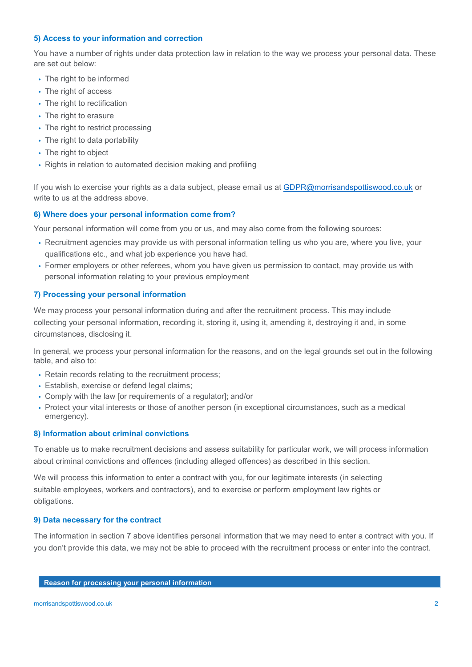## **5) Access to your information and correction**

You have a number of rights under data protection law in relation to the way we process your personal data. These are set out below:

- The right to be informed
- The right of access
- The right to rectification
- The right to erasure
- The right to restrict processing
- The right to data portability
- The right to object
- Rights in relation to automated decision making and profiling

If you wish to exercise your rights as a data subject, please email us at [GDPR@morrisandspottiswood.co.uk](mailto:GDPR@morrisandspottiswood.co.uk) or write to us at the address above.

### **6) Where does your personal information come from?**

Your personal information will come from you or us, and may also come from the following sources:

- Recruitment agencies may provide us with personal information telling us who you are, where you live, your qualifications etc., and what job experience you have had.
- Former employers or other referees, whom you have given us permission to contact, may provide us with personal information relating to your previous employment

### **7) Processing your personal information**

We may process your personal information during and after the recruitment process. This may include collecting your personal information, recording it, storing it, using it, amending it, destroying it and, in some circumstances, disclosing it.

In general, we process your personal information for the reasons, and on the legal grounds set out in the following table, and also to:

- Retain records relating to the recruitment process;
- Establish, exercise or defend legal claims;
- Comply with the law [or requirements of a regulator]; and/or
- Protect your vital interests or those of another person (in exceptional circumstances, such as a medical emergency).

## **8) Information about criminal convictions**

To enable us to make recruitment decisions and assess suitability for particular work, we will process information about criminal convictions and offences (including alleged offences) as described in this section.

We will process this information to enter a contract with you, for our legitimate interests (in selecting suitable employees, workers and contractors), and to exercise or perform employment law rights or obligations.

#### **9) Data necessary for the contract**

The information in section 7 above identifies personal information that we may need to enter a contract with you. If you don't provide this data, we may not be able to proceed with the recruitment process or enter into the contract.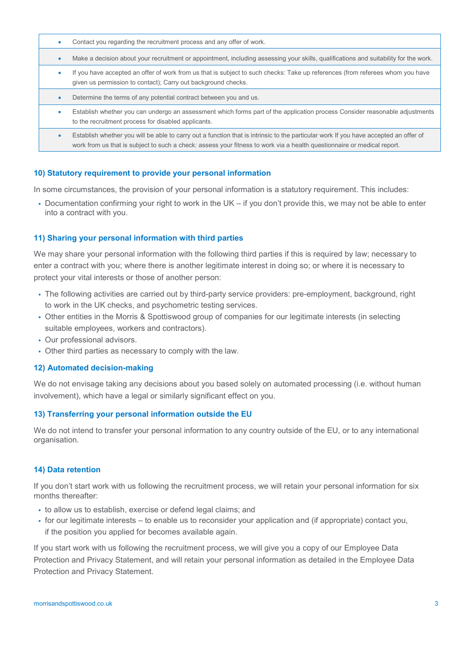- Contact you regarding the recruitment process and any offer of work.
- Make a decision about your recruitment or appointment, including assessing your skills, qualifications and suitability for the work.
- If you have accepted an offer of work from us that is subject to such checks: Take up references (from referees whom you have given us permission to contact); Carry out background checks.
- Determine the terms of any potential contract between you and us.
- Establish whether you can undergo an assessment which forms part of the application process Consider reasonable adjustments to the recruitment process for disabled applicants.
- Establish whether you will be able to carry out a function that is intrinsic to the particular work If you have accepted an offer of work from us that is subject to such a check: assess your fitness to work via a health questionnaire or medical report.

#### **10) Statutory requirement to provide your personal information**

In some circumstances, the provision of your personal information is a statutory requirement. This includes:

• Documentation confirming your right to work in the UK – if you don't provide this, we may not be able to enter into a contract with you.

#### **11) Sharing your personal information with third parties**

We may share your personal information with the following third parties if this is required by law; necessary to enter a contract with you; where there is another legitimate interest in doing so; or where it is necessary to protect your vital interests or those of another person:

- The following activities are carried out by third-party service providers: pre-employment, background, right to work in the UK checks, and psychometric testing services.
- Other entities in the Morris & Spottiswood group of companies for our legitimate interests (in selecting suitable employees, workers and contractors).
- Our professional advisors.
- Other third parties as necessary to comply with the law.

#### **12) Automated decision-making**

We do not envisage taking any decisions about you based solely on automated processing (i.e. without human involvement), which have a legal or similarly significant effect on you.

#### **13) Transferring your personal information outside the EU**

We do not intend to transfer your personal information to any country outside of the EU, or to any international organisation.

#### **14) Data retention**

If you don't start work with us following the recruitment process, we will retain your personal information for six months thereafter:

- to allow us to establish, exercise or defend legal claims; and
- for our legitimate interests to enable us to reconsider your application and (if appropriate) contact you, if the position you applied for becomes available again.

If you start work with us following the recruitment process, we will give you a copy of our Employee Data Protection and Privacy Statement, and will retain your personal information as detailed in the Employee Data Protection and Privacy Statement.